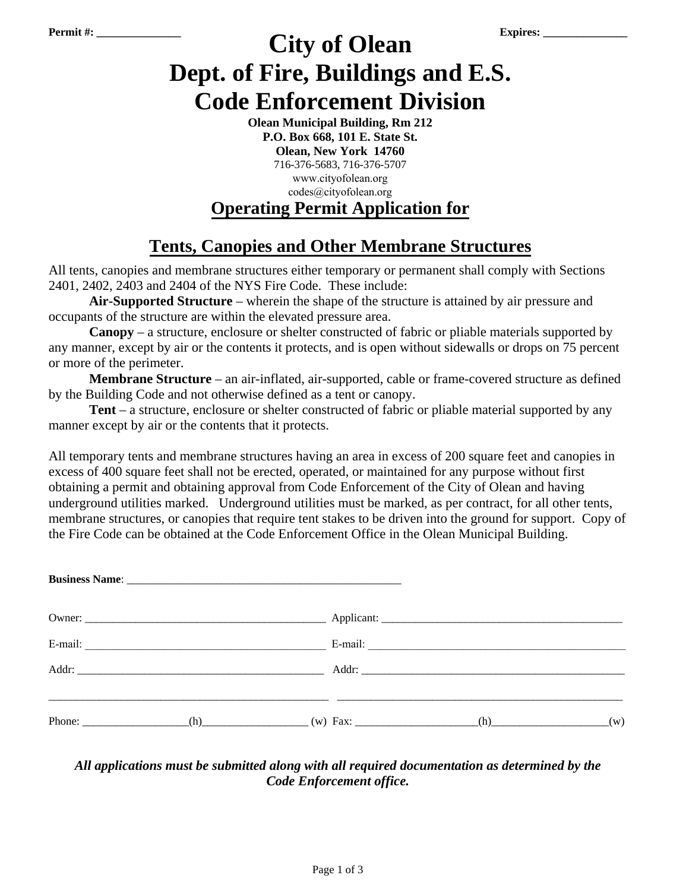# **Permit #: \_\_\_\_\_\_\_\_\_\_\_\_\_\_\_ Expires: \_\_\_\_\_\_\_\_\_\_\_\_\_\_\_ City of Olean Dept. of Fire, Buildings and E.S. Code Enforcement Division**

**Olean Municipal Building, Rm 212 P.O. Box 668, 101 E. State St. Olean, New York 14760**  716-376-5683, 716-376-5707 www.cityofolean.org codes@cityofolean.org **Operating Permit Application for**

## **Tents, Canopies and Other Membrane Structures**

All tents, canopies and membrane structures either temporary or permanent shall comply with Sections 2401, 2402, 2403 and 2404 of the NYS Fire Code. These include:

**Air-Supported Structure** – wherein the shape of the structure is attained by air pressure and occupants of the structure are within the elevated pressure area.

**Canopy** – a structure, enclosure or shelter constructed of fabric or pliable materials supported by any manner, except by air or the contents it protects, and is open without sidewalls or drops on 75 percent or more of the perimeter.

**Membrane Structure** – an air-inflated, air-supported, cable or frame-covered structure as defined by the Building Code and not otherwise defined as a tent or canopy.

**Tent** – a structure, enclosure or shelter constructed of fabric or pliable material supported by any manner except by air or the contents that it protects.

All temporary tents and membrane structures having an area in excess of 200 square feet and canopies in excess of 400 square feet shall not be erected, operated, or maintained for any purpose without first obtaining a permit and obtaining approval from Code Enforcement of the City of Olean and having underground utilities marked. Underground utilities must be marked, as per contract, for all other tents, membrane structures, or canopies that require tent stakes to be driven into the ground for support. Copy of the Fire Code can be obtained at the Code Enforcement Office in the Olean Municipal Building.

|  | $(h)$ and $(h)$ and $(h)$ and $(h)$ and $(h)$ and $(h)$ and $(h)$ and $(h)$ and $(h)$ and $(h)$ and $(h)$ and $(h)$ and $(h)$ and $(h)$ and $(h)$ and $(h)$ and $(h)$ and $(h)$ and $(h)$ and $(h)$ and $(h)$ and $(h)$ and $(h)$ and $(h)$ and $(h)$ | (w) |
|--|-------------------------------------------------------------------------------------------------------------------------------------------------------------------------------------------------------------------------------------------------------|-----|

### *All applications must be submitted along with all required documentation as determined by the Code Enforcement office.*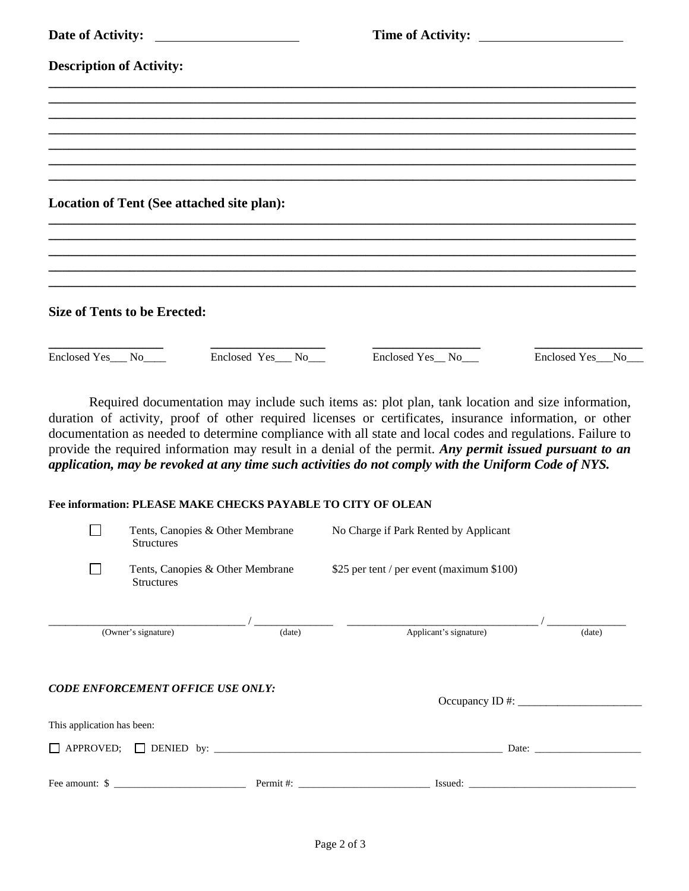| Date of Activity:                                                                                                                                                                                                                                                                                                                                                                                                                                                                                                                           |                  | Time of Activity:                                                                 |                  |  |  |  |
|---------------------------------------------------------------------------------------------------------------------------------------------------------------------------------------------------------------------------------------------------------------------------------------------------------------------------------------------------------------------------------------------------------------------------------------------------------------------------------------------------------------------------------------------|------------------|-----------------------------------------------------------------------------------|------------------|--|--|--|
| <b>Description of Activity:</b>                                                                                                                                                                                                                                                                                                                                                                                                                                                                                                             |                  |                                                                                   |                  |  |  |  |
|                                                                                                                                                                                                                                                                                                                                                                                                                                                                                                                                             |                  |                                                                                   |                  |  |  |  |
|                                                                                                                                                                                                                                                                                                                                                                                                                                                                                                                                             |                  |                                                                                   |                  |  |  |  |
|                                                                                                                                                                                                                                                                                                                                                                                                                                                                                                                                             |                  | ,我们也不能在这里的时候,我们也不能在这里的时候,我们也不能会在这里的时候,我们也不能会在这里的时候,我们也不能会在这里的时候,我们也不能会在这里的时候,我们也不 |                  |  |  |  |
|                                                                                                                                                                                                                                                                                                                                                                                                                                                                                                                                             |                  |                                                                                   |                  |  |  |  |
| Location of Tent (See attached site plan):                                                                                                                                                                                                                                                                                                                                                                                                                                                                                                  |                  |                                                                                   |                  |  |  |  |
|                                                                                                                                                                                                                                                                                                                                                                                                                                                                                                                                             |                  |                                                                                   |                  |  |  |  |
|                                                                                                                                                                                                                                                                                                                                                                                                                                                                                                                                             |                  |                                                                                   |                  |  |  |  |
| <b>Size of Tents to be Erected:</b>                                                                                                                                                                                                                                                                                                                                                                                                                                                                                                         |                  |                                                                                   |                  |  |  |  |
| Enclosed Yes_No____                                                                                                                                                                                                                                                                                                                                                                                                                                                                                                                         | Enclosed Yes_No_ | Enclosed Yes_No__                                                                 | Enclosed Yes_No_ |  |  |  |
| Required documentation may include such items as: plot plan, tank location and size information,<br>duration of activity, proof of other required licenses or certificates, insurance information, or other<br>documentation as needed to determine compliance with all state and local codes and regulations. Failure to<br>provide the required information may result in a denial of the permit. Any permit issued pursuant to an<br>application, may be revoked at any time such activities do not comply with the Uniform Code of NYS. |                  |                                                                                   |                  |  |  |  |
| Fee information: PLEASE MAKE CHECKS PAYABLE TO CITY OF OLEAN                                                                                                                                                                                                                                                                                                                                                                                                                                                                                |                  |                                                                                   |                  |  |  |  |

| Tents, Canopies & Other Membrane<br><b>Structures</b> |                                                       |                    | No Charge if Park Rented by Applicant                                                                                                                                                                                                                                                           |        |  |
|-------------------------------------------------------|-------------------------------------------------------|--------------------|-------------------------------------------------------------------------------------------------------------------------------------------------------------------------------------------------------------------------------------------------------------------------------------------------|--------|--|
|                                                       | Tents, Canopies & Other Membrane<br><b>Structures</b> |                    | \$25 per tent / per event (maximum \$100)                                                                                                                                                                                                                                                       |        |  |
|                                                       |                                                       |                    |                                                                                                                                                                                                                                                                                                 |        |  |
| $\overline{(O}$ wner's signature)                     |                                                       | (data)             | Applicant's signature)                                                                                                                                                                                                                                                                          | (date) |  |
|                                                       | <b>CODE ENFORCEMENT OFFICE USE ONLY:</b>              |                    | Occupancy ID #: $\frac{1}{2}$ = $\frac{1}{2}$ = $\frac{1}{2}$ = $\frac{1}{2}$ = $\frac{1}{2}$ = $\frac{1}{2}$ = $\frac{1}{2}$ = $\frac{1}{2}$ = $\frac{1}{2}$ = $\frac{1}{2}$ = $\frac{1}{2}$ = $\frac{1}{2}$ = $\frac{1}{2}$ = $\frac{1}{2}$ = $\frac{1}{2}$ = $\frac{1}{2}$ = $\frac{1}{2}$ = |        |  |
| This application has been:                            |                                                       |                    |                                                                                                                                                                                                                                                                                                 |        |  |
|                                                       |                                                       | Date: <u>Date:</u> |                                                                                                                                                                                                                                                                                                 |        |  |
|                                                       | Fee amount: \$                                        |                    | Permit #:<br>Issued:                                                                                                                                                                                                                                                                            |        |  |